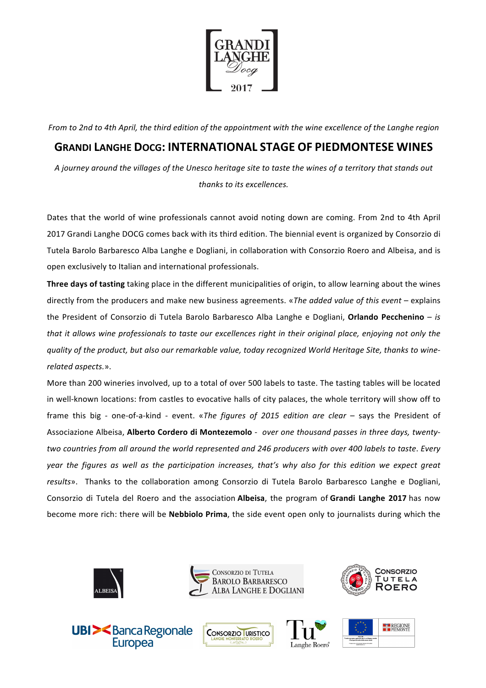

*From* to 2nd to 4th April, the third edition of the appointment with the wine excellence of the Langhe region

## **GRANDI LANGHE DOCG: INTERNATIONAL STAGE OF PIEDMONTESE WINES**

*A journey around the villages of the Unesco heritage site to taste the wines of a territory that stands out thanks to its excellences.* 

Dates that the world of wine professionals cannot avoid noting down are coming. From 2nd to 4th April 2017 Grandi Langhe DOCG comes back with its third edition. The biennial event is organized by Consorzio di Tutela Barolo Barbaresco Alba Langhe e Dogliani, in collaboration with Consorzio Roero and Albeisa, and is open exclusively to Italian and international professionals.

**Three days of tasting** taking place in the different municipalities of origin, to allow learning about the wines directly from the producers and make new business agreements. «*The added value of this event* – explains the President of Consorzio di Tutela Barolo Barbaresco Alba Langhe e Dogliani, Orlando Pecchenino - *is that* it allows wine professionals to taste our excellences right in their original place, enjoying not only the quality of the product, but also our remarkable value, today recognized World Heritage Site, thanks to wine*related aspects.*».

More than 200 wineries involved, up to a total of over 500 labels to taste. The tasting tables will be located in well-known locations: from castles to evocative halls of city palaces, the whole territory will show off to frame this big - one-of-a-kind - event. «*The figures of 2015 edition are clear* – says the President of Associazione Albeisa, Alberto Cordero di Montezemolo - over one thousand passes in three days, twenty*two* countries from all around the world represented and 246 producers with over 400 labels to taste. Every *year* the figures as well as the participation increases, that's why also for this edition we expect great results». Thanks to the collaboration among Consorzio di Tutela Barolo Barbaresco Langhe e Dogliani, Consorzio di Tutela del Roero and the association **Albeisa**, the program of Grandi Langhe 2017 has now become more rich: there will be **Nebbiolo Prima**, the side event open only to journalists during which the